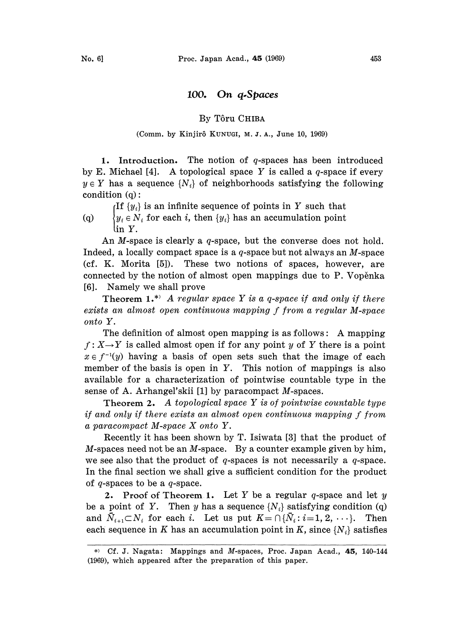## 100. On q.Spaces

## By T6ru CHIBA

### (Comm. by Kinjirô KUNUGI, M. J. A., June 10, 1969)

1. Introduction. The notion of  $q$ -spaces has been introduced by E. Michael [4]. A topological space Y is called a  $q$ -space if every  $y \in Y$  has a sequence  $\{N_i\}$  of neighborhoods satisfying the following condition  $(q)$ :

If  $\{y_i\}$  is an infinite sequence of points in Y such that (q)  $\{y_i \in N_i \text{ for each } i, \text{ then } \{y_i\} \text{ has an accumulation point}$ in Y.

An M-space is clearly a  $q$ -space, but the converse does not hold. Indeed, a locally compact space is a  $q$ -space but not always an  $M$ -space (cf. K. Morita [5]). These two notions of spaces, however, are connected by the notion of almost open mappings due to P. Vopenka [6]. Namely we shall prove

Theorem 1.\* A regular space Y is a q-space if and only if there exists an almost open continuous mapping f from a regular M-space onto Y.

The definition of almost open mapping is as follows: A mapping  $f: X \rightarrow Y$  is called almost open if for any point y of Y there is a point  $x \in f^{-1}(y)$  having a basis of open sets such that the image of each member of the basis is open in Y. This notion of mappings is also available for a characterization of pointwise countable type in the sense of A. Arhangel'skii [1] by paracompact M-spaces.

**Theorem 2.** A topological space Y is of pointwise countable type if and only if there exists an almost open continuous mapping f from <sup>a</sup> paracompact M-space X onto Y.

Recently it has been shown by T. Isiwata [3] that the product of  $M$ -spaces need not be an  $M$ -space. By a counter example given by him, we see also that the product of  $q$ -spaces is not necessarily a  $q$ -space. In the final section we shall give a sufficient condition for the product of  $q$ -spaces to be a  $q$ -space.

2. Proof of Theorem 1. Let Y be a regular q-space and let  $y$ be a point of Y. Then y has a sequence  $\{N_i\}$  satisfying condition (q) and  $\bar{N}_{i+1} \subset N_i$  for each i. Let us put  $K = \bigcap {\bar{N}_i : i = 1, 2, \cdots}$ . Then each sequence in K has an accumulation point in K, since  $\{N_i\}$  satisfies

<sup>\*)</sup> Cf. J. Nagata: Mappings and M-spaces, Proc. Japan Acad., 45, 140-144 (1969), which appeared after the preparation of this paper.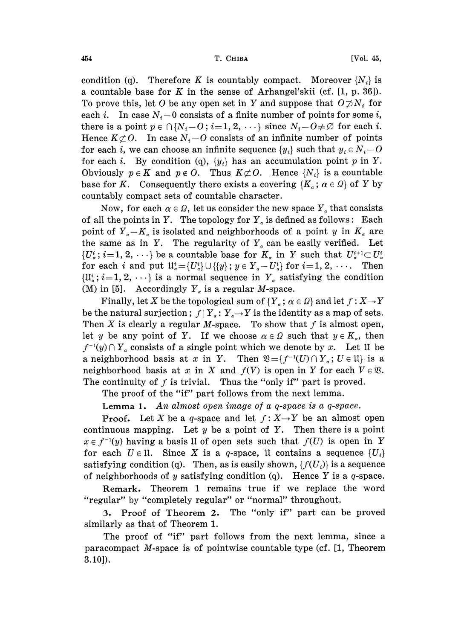#### 454 **T. CHIBA** [Vol. 45,

condition (q). Therefore K is countably compact. Moreover  $\{N_i\}$  is a countable base for K in the sense of Arhangel'skii (cf.  $[1, p. 36]$ ). To prove this, let O be any open set in Y and suppose that  $O \npreceq N_i$  for each i. In case  $N_i-0$  consists of a finite number of points for some i, there is a point  $p \in \bigcap \{N_i - O; i = 1, 2, \cdots\}$  since  $N_i - O \neq \emptyset$  for each i. Hence  $K\subset\mathcal{O}$ . In case  $N_i$ -O consists of an infinite number of points for each *i*, we can choose an infinite sequence  $\{y_i\}$  such that  $y_i \in N_i - O$ for each *i*. By condition (q),  $\{y_i\}$  has an accumulation point p in Y. Obviously  $p \in K$  and  $p \notin O$ . Thus  $K \not\subset O$ . Hence  $\{N_i\}$  is a countable base for K. Consequently there exists a covering  $\{K_{\alpha}; \alpha \in \Omega\}$  of Y by countably compact sets of countable character.

Now, for each  $\alpha \in \Omega$ , let us consider the new space  $Y_{\alpha}$  that consists of all the points in Y. The topology for  $Y_a$  is defined as follows: Each point of  $Y_a-K_a$  is isolated and neighborhoods of a point y in  $K_a$  are the same as in Y. The regularity of  $Y_a$  can be easily verified. Let  $\{U^i_\alpha\colon i=1,\,2,\,\cdots\}$  be a countable base for  $K_\alpha$  in Y such that  $U^{i+1}_\alpha\subset U^i_\alpha$ for each i and put  $\mathfrak{U}_\alpha^i = \{U_\alpha^i\} \cup \{\{y\}$ ;  $y \in Y_\alpha - U_\alpha^i\}$  for  $i = 1, 2, \cdots$ . Then  $\{\mathfrak{U}_\alpha^i; i=1, 2,\cdots\}$  is a normal sequence in  $Y_\alpha$  satisfying the condition (M) in [5]. Accordingly  $Y_a$  is a regular *M*-space.

Finally, let X be the topological sum of  $\{Y_\alpha;\alpha\in\Omega\}$  and let  $f:X\to Y$ be the natural surjection;  $f|Y_a: Y_a \rightarrow Y$  is the identity as a map of sets. Then X is clearly a regular M-space. To show that  $f$  is almost open, let y be any point of Y. If we choose  $\alpha \in \Omega$  such that  $y \in K_{\alpha}$ , then  $f^{-1}(y) \cap Y_{\alpha}$  consists of a single point which we denote by x. Let 11 be a neighborhood basis at x in Y. Then  $\mathfrak{B} = \{f^{-1}(U) \cap Y_{\alpha}; U \in \mathfrak{U}\}\)$  is a neighborhood basis at x in X and  $f(V)$  is open in Y for each  $V \in \mathfrak{B}$ . The continuity of  $f$  is trivial. Thus the "only if" part is proved.

The proof of the "if" part follows from the next lemma.

Lemma 1. An almost open image of a q-space is a q-space.

**Proof.** Let X be a q-space and let  $f: X \rightarrow Y$  be an almost open continuous mapping. Let  $y$  be a point of  $Y$ . Then there is a point  $x \in f^{-1}(y)$  having a basis 1I of open sets such that  $f(U)$  is open in Y for each  $U \in \mathfrak{U}$ . Since X is a q-space,  $\mathfrak{U}$  contains a sequence  $\{U_i\}$ satisfying condition (q). Then, as is easily shown,  $\{f(U_i)\}\$ is a sequence of neighborhoods of  $y$  satisfying condition (q). Hence  $Y$  is a  $q$ -space.

Remark. Theorem <sup>1</sup> remains true if we replace the word "regular" by "completely regular" or "normal" throughout.

3. Proof of Theorem 2. The "only if" part can be proved similarly as that of Theorem 1.

The proof of "if" part follows from the next lemma, since a paracompact M-space is of pointwise countable type (cf. [1, Theorem 3.10]).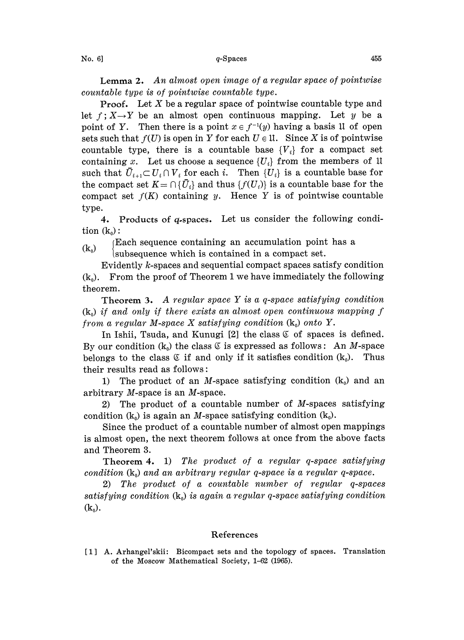Lemma 2. An almost open image of <sup>a</sup> regular space of pointwise countable type is of pointwise countable type.

**Proof.** Let  $X$  be a regular space of pointwise countable type and let  $f: X \rightarrow Y$  be an almost open continuous mapping. Let y be a point of Y. Then there is a point  $x \in f^{-1}(y)$  having a basis 11 of open sets such that  $f(U)$  is open in Y for each  $U \in \mathfrak{U}$ . Since X is of pointwise countable type, there is a countable base  ${V_i}$  for a compact set containing x. Let us choose a sequence  $\{U_i\}$  from the members of 1 such that  $\bar{U}_{i+1} \subset U_i \cap V_i$  for each i. Then  $\{U_i\}$  is a countable base for the compact set  $K = \bigcap \{ \bar{U}_i \}$  and thus  $\{ f(U_i) \}$  is a countable base for the compact set  $f(K)$  containing y. Hence Y is of pointwise countable type.

4. Products of q-spaces. Let us consider the following condition  $(k_0)$ :

lEach sequence containing an accumulation point has <sup>a</sup>

 $(k_0)$  [Each sequence containing an accumulation point

Evidently k-spaces and sequential compact spaces satisfy condition  $(k_0)$ . From the proof of Theorem 1 we have immediately the following theorem.

Theorem 3. A regular space Y is a q-space satisfying condition  $(k_0)$  if and only if there exists an almost open continuous mapping f from a regular M-space X satisfying condition  $(k_0)$  onto Y.

In Ishii, Tsuda, and Kunugi  $[2]$  the class  $\mathfrak C$  of spaces is defined. By our condition  $(k_0)$  the class  $\mathfrak C$  is expressed as follows: An *M*-space belongs to the class  $\mathfrak C$  if and only if it satisfies condition  $(k_0)$ . Thus their results read as follows:

1) The product of an M-space satisfying condition  $(k_0)$  and an arbitrary M-space is an M-space.

2) The product of a countable number of  $M$ -spaces satisfying condition  $(k_0)$  is again an M-space satisfying condition  $(k_0)$ .

Since the product of a countable number of almost open mappings is almost open, the next theorem follows at once from the above facts and Theorem 3.

Theorem 4. 1) The product of a regular q-space satisfying condition  $(k_0)$  and an arbitrary regular q-space is a regular q-space.

2) The product of a countable number of regular q-spaces satisfying condition  $(k_0)$  is again a regular q-space satisfying condition  $(k_0)$ .

# References

[1] A. Arhangel'skii: Bicompact sets and the topology of spaces. Translation of the. Moscow Mathematical Society, 1-62 (1965).